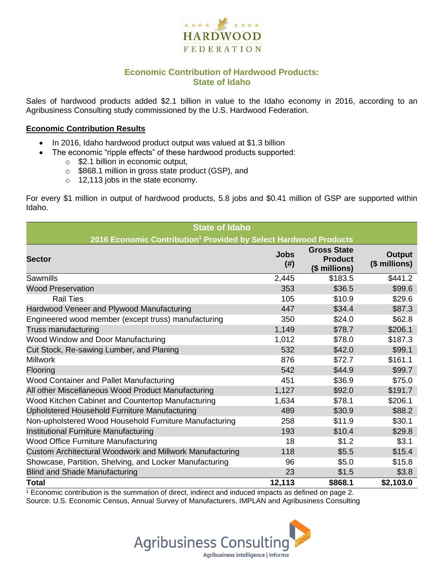

## **Economic Contribution of Hardwood Products: State of Idaho**

Sales of hardwood products added \$2.1 billion in value to the Idaho economy in 2016, according to an Agribusiness Consulting study commissioned by the U.S. Hardwood Federation.

#### **Economic Contribution Results**

- In 2016, Idaho hardwood product output was valued at \$1.3 billion
	- The economic "ripple effects" of these hardwood products supported:
		- o \$2.1 billion in economic output,
		- o \$868.1 million in gross state product (GSP), and
		- o 12,113 jobs in the state economy.

For every \$1 million in output of hardwood products, 5.8 jobs and \$0.41 million of GSP are supported within Idaho.

| <b>State of Idaho</b>                                                        |                     |                                                       |                         |  |  |  |
|------------------------------------------------------------------------------|---------------------|-------------------------------------------------------|-------------------------|--|--|--|
| 2016 Economic Contribution <sup>1</sup> Provided by Select Hardwood Products |                     |                                                       |                         |  |  |  |
| <b>Sector</b>                                                                | <b>Jobs</b><br>(# ) | <b>Gross State</b><br><b>Product</b><br>(\$ millions) | Output<br>(\$ millions) |  |  |  |
| Sawmills                                                                     | 2,445               | \$183.5                                               | \$441.2                 |  |  |  |
| <b>Wood Preservation</b>                                                     | 353                 | \$36.5                                                | \$99.6                  |  |  |  |
| <b>Rail Ties</b>                                                             | 105                 | \$10.9                                                | \$29.6                  |  |  |  |
| Hardwood Veneer and Plywood Manufacturing                                    | 447                 | \$34.4                                                | \$87.3                  |  |  |  |
| Engineered wood member (except truss) manufacturing                          | 350                 | \$24.0                                                | \$62.8                  |  |  |  |
| Truss manufacturing                                                          | 1,149               | \$78.7                                                | \$206.1                 |  |  |  |
| Wood Window and Door Manufacturing                                           | 1,012               | \$78.0                                                | \$187.3                 |  |  |  |
| Cut Stock, Re-sawing Lumber, and Planing                                     | 532                 | \$42.0                                                | \$99.1                  |  |  |  |
| <b>Millwork</b>                                                              | 876                 | \$72.7                                                | \$161.1                 |  |  |  |
| Flooring                                                                     | 542                 | \$44.9                                                | \$99.7                  |  |  |  |
| Wood Container and Pallet Manufacturing                                      | 451                 | \$36.9                                                | \$75.0                  |  |  |  |
| All other Miscellaneous Wood Product Manufacturing                           | 1,127               | \$92.0                                                | \$191.7                 |  |  |  |
| Wood Kitchen Cabinet and Countertop Manufacturing                            | 1,634               | \$78.1                                                | \$206.1                 |  |  |  |
| Upholstered Household Furniture Manufacturing                                | 489                 | \$30.9                                                | \$88.2                  |  |  |  |
| Non-upholstered Wood Household Furniture Manufacturing                       | 258                 | \$11.9                                                | \$30.1                  |  |  |  |
| Institutional Furniture Manufacturing                                        | 193                 | \$10.4                                                | \$29.8                  |  |  |  |
| <b>Wood Office Furniture Manufacturing</b>                                   | 18                  | \$1.2                                                 | \$3.1                   |  |  |  |
| Custom Architectural Woodwork and Millwork Manufacturing                     | 118                 | \$5.5                                                 | \$15.4                  |  |  |  |
| Showcase, Partition, Shelving, and Locker Manufacturing                      | 96                  | \$5.0                                                 | \$15.8                  |  |  |  |
| <b>Blind and Shade Manufacturing</b>                                         | 23                  | \$1.5                                                 | \$3.8                   |  |  |  |
| <b>Total</b>                                                                 | 12,113              | \$868.1                                               | \$2,103.0               |  |  |  |

 $1$  Economic contribution is the summation of direct, indirect and induced impacts as defined on page 2. Source: U.S. Economic Census, Annual Survey of Manufacturers, IMPLAN and Agribusiness Consulting